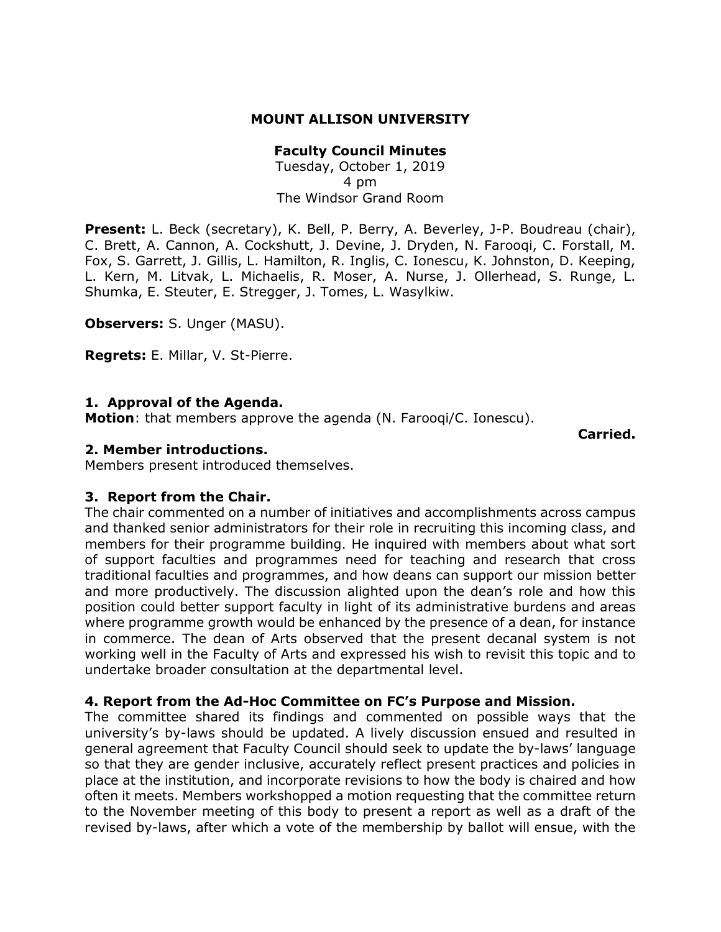# **MOUNT ALLISON UNIVERSITY**

# **Faculty Council Minutes**

Tuesday, October 1, 2019 4 pm The Windsor Grand Room

Present: L. Beck (secretary), K. Bell, P. Berry, A. Beverley, J-P. Boudreau (chair), C. Brett, A. Cannon, A. Cockshutt, J. Devine, J. Dryden, N. Farooqi, C. Forstall, M. Fox, S. Garrett, J. Gillis, L. Hamilton, R. Inglis, C. Ionescu, K. Johnston, D. Keeping, L. Kern, M. Litvak, L. Michaelis, R. Moser, A. Nurse, J. Ollerhead, S. Runge, L. Shumka, E. Steuter, E. Stregger, J. Tomes, L. Wasylkiw.

**Observers:** S. Unger (MASU).

**Regrets:** E. Millar, V. St-Pierre.

### **1. Approval of the Agenda.**

**Motion**: that members approve the agenda (N. Farooqi/C. Ionescu).

**Carried.** 

#### **2. Member introductions.**

Members present introduced themselves.

### **3. Report from the Chair.**

The chair commented on a number of initiatives and accomplishments across campus and thanked senior administrators for their role in recruiting this incoming class, and members for their programme building. He inquired with members about what sort of support faculties and programmes need for teaching and research that cross traditional faculties and programmes, and how deans can support our mission better and more productively. The discussion alighted upon the dean's role and how this position could better support faculty in light of its administrative burdens and areas where programme growth would be enhanced by the presence of a dean, for instance in commerce. The dean of Arts observed that the present decanal system is not working well in the Faculty of Arts and expressed his wish to revisit this topic and to undertake broader consultation at the departmental level.

### **4. Report from the Ad-Hoc Committee on FC's Purpose and Mission.**

The committee shared its findings and commented on possible ways that the university's by-laws should be updated. A lively discussion ensued and resulted in general agreement that Faculty Council should seek to update the by-laws' language so that they are gender inclusive, accurately reflect present practices and policies in place at the institution, and incorporate revisions to how the body is chaired and how often it meets. Members workshopped a motion requesting that the committee return to the November meeting of this body to present a report as well as a draft of the revised by-laws, after which a vote of the membership by ballot will ensue, with the